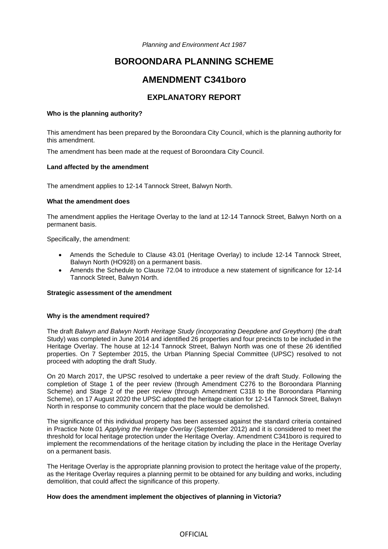*Planning and Environment Act 1987* 

# **BOROONDARA PLANNING SCHEME**

## **AMENDMENT C341boro**

## **EXPLANATORY REPORT**

### **Who is the planning authority?**

This amendment has been prepared by the Boroondara City Council, which is the planning authority for this amendment.

The amendment has been made at the request of Boroondara City Council.

### **Land affected by the amendment**

The amendment applies to 12-14 Tannock Street, Balwyn North.

### **What the amendment does**

The amendment applies the Heritage Overlay to the land at 12-14 Tannock Street, Balwyn North on a permanent basis.

Specifically, the amendment:

- Amends the Schedule to Clause 43.01 (Heritage Overlay) to include 12-14 Tannock Street, Balwyn North (HO928) on a permanent basis.
- Amends the Schedule to Clause 72.04 to introduce a new statement of significance for 12-14 Tannock Street, Balwyn North.

### **Strategic assessment of the amendment**

### **Why is the amendment required?**

The draft *Balwyn and Balwyn North Heritage Study (incorporating Deepdene and Greythorn)* (the draft Study) was completed in June 2014 and identified 26 properties and four precincts to be included in the Heritage Overlay. The house at 12-14 Tannock Street, Balwyn North was one of these 26 identified properties. On 7 September 2015, the Urban Planning Special Committee (UPSC) resolved to not proceed with adopting the draft Study.

On 20 March 2017, the UPSC resolved to undertake a peer review of the draft Study. Following the completion of Stage 1 of the peer review (through Amendment C276 to the Boroondara Planning Scheme) and Stage 2 of the peer review (through Amendment C318 to the Boroondara Planning Scheme), on 17 August 2020 the UPSC adopted the heritage citation for 12-14 Tannock Street, Balwyn North in response to community concern that the place would be demolished.

The significance of this individual property has been assessed against the standard criteria contained in Practice Note 01 *Applying the Heritage Overlay* (September 2012) and it is considered to meet the threshold for local heritage protection under the Heritage Overlay. Amendment C341boro is required to implement the recommendations of the heritage citation by including the place in the Heritage Overlay on a permanent basis.

The Heritage Overlay is the appropriate planning provision to protect the heritage value of the property, as the Heritage Overlay requires a planning permit to be obtained for any building and works, including demolition, that could affect the significance of this property.

## **How does the amendment implement the objectives of planning in Victoria?**

## **OFFICIAL**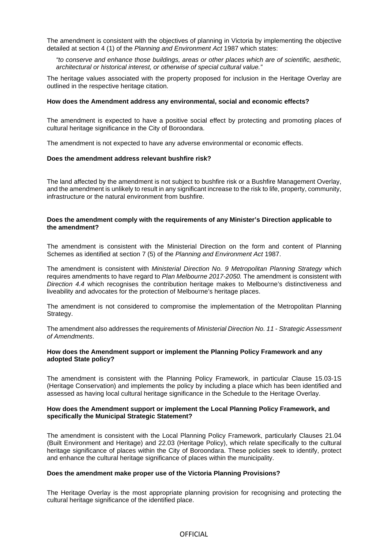The amendment is consistent with the objectives of planning in Victoria by implementing the objective detailed at section 4 (1) of the *Planning and Environment Act* 1987 which states:

*"to conserve and enhance those buildings, areas or other places which are of scientific, aesthetic, architectural or historical interest, or otherwise of special cultural value."* 

The heritage values associated with the property proposed for inclusion in the Heritage Overlay are outlined in the respective heritage citation.

#### **How does the Amendment address any environmental, social and economic effects?**

The amendment is expected to have a positive social effect by protecting and promoting places of cultural heritage significance in the City of Boroondara.

The amendment is not expected to have any adverse environmental or economic effects.

#### **Does the amendment address relevant bushfire risk?**

The land affected by the amendment is not subject to bushfire risk or a Bushfire Management Overlay, and the amendment is unlikely to result in any significant increase to the risk to life, property, community, infrastructure or the natural environment from bushfire.

#### **Does the amendment comply with the requirements of any Minister's Direction applicable to the amendment?**

The amendment is consistent with the Ministerial Direction on the form and content of Planning Schemes as identified at section 7 (5) of the *Planning and Environment Act* 1987.

The amendment is consistent with *Ministerial Direction No. 9 Metropolitan Planning Strategy* which requires amendments to have regard to *Plan Melbourne 2017-2050.* The amendment is consistent with *Direction 4.4* which recognises the contribution heritage makes to Melbourne's distinctiveness and liveability and advocates for the protection of Melbourne's heritage places.

The amendment is not considered to compromise the implementation of the Metropolitan Planning Strategy.

The amendment also addresses the requirements of *Ministerial Direction No. 11 - Strategic Assessment of Amendments*.

### **How does the Amendment support or implement the Planning Policy Framework and any adopted State policy?**

The amendment is consistent with the Planning Policy Framework, in particular Clause 15.03-1S (Heritage Conservation) and implements the policy by including a place which has been identified and assessed as having local cultural heritage significance in the Schedule to the Heritage Overlay.

#### **How does the Amendment support or implement the Local Planning Policy Framework, and specifically the Municipal Strategic Statement?**

The amendment is consistent with the Local Planning Policy Framework, particularly Clauses 21.04 (Built Environment and Heritage) and 22.03 (Heritage Policy), which relate specifically to the cultural heritage significance of places within the City of Boroondara. These policies seek to identify, protect and enhance the cultural heritage significance of places within the municipality.

#### **Does the amendment make proper use of the Victoria Planning Provisions?**

The Heritage Overlay is the most appropriate planning provision for recognising and protecting the cultural heritage significance of the identified place.